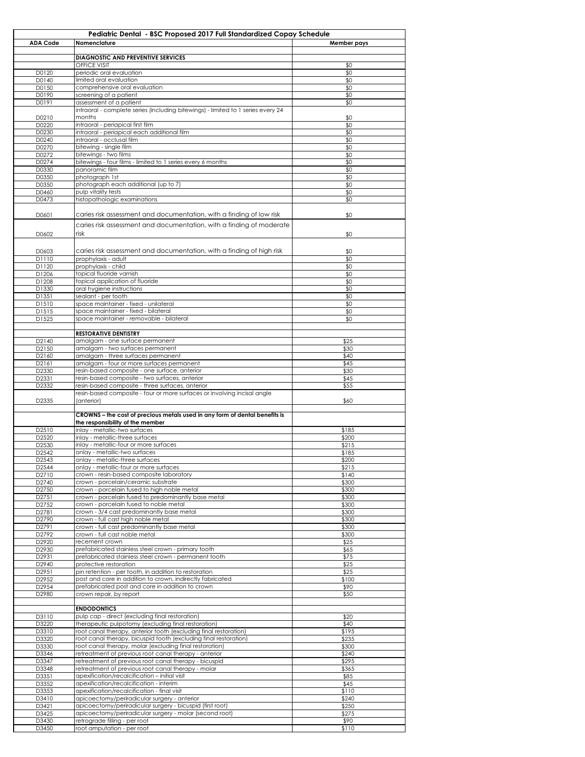|                 | Pediatric Dental - BSC Proposed 2017 Full Standardized Copay Schedule                    |                |  |
|-----------------|------------------------------------------------------------------------------------------|----------------|--|
| <b>ADA Code</b> | Nomenclature                                                                             | Member pays    |  |
|                 |                                                                                          |                |  |
|                 | DIAGNOSTIC AND PREVENTIVE SERVICES                                                       |                |  |
|                 | <b>OFFICE VISIT</b>                                                                      | \$0            |  |
| D0120           | periodic oral evaluation                                                                 | \$0            |  |
| D0140<br>D0150  | limited oral evaluation<br>comprehensive oral evaluation                                 | \$0<br>\$0     |  |
| D0190           | screening of a patient                                                                   | \$0            |  |
| D0191           | assessment of a patient                                                                  | \$0            |  |
|                 | intraoral - complete series (including bitewings) - limited to 1 series every 24         |                |  |
| D0210           | months                                                                                   | \$0            |  |
| D0220           | intraoral - periapical first film                                                        | \$0            |  |
| D0230           | intraoral - periapical each additional film                                              | \$0            |  |
| D0240           | intraoral - occlusal film                                                                | \$0            |  |
| D0270           | bitewing - single film                                                                   | \$0            |  |
| D0272           | bitewings - two films                                                                    | \$0            |  |
| D0274           | bitewings - four films - limited to 1 series every 6 months<br>panoramic film            | \$0            |  |
| D0330<br>D0350  | photograph 1st                                                                           | \$0<br>\$0     |  |
| D0350           | photograph each additional (up to 7)                                                     | \$0            |  |
| D0460           | pulp vitality tests                                                                      | \$0            |  |
| D0473           | histopathologic examinations                                                             | \$0            |  |
|                 |                                                                                          |                |  |
| D0601           | caries risk assessment and documentation, with a finding of low risk                     | \$0            |  |
|                 | caries risk assessment and documentation, with a finding of moderate                     |                |  |
| D0602           | risk                                                                                     | \$0            |  |
|                 |                                                                                          |                |  |
| D0603           | caries risk assessment and documentation, with a finding of high risk                    | \$0            |  |
| D1110           | prophylaxis - adult                                                                      | \$0            |  |
| D1120           | prophylaxis - child                                                                      | \$0            |  |
| D1206           | topical fluoride varnish                                                                 | \$0            |  |
| D1208           | topical application of fluoride                                                          | \$0            |  |
| D1330           | oral hygiene instructions                                                                | \$0            |  |
| D1351           | sealant - per tooth                                                                      | \$0            |  |
| D1510<br>D1515  | space maintainer - fixed - unilateral<br>space maintainer - fixed - bilateral            | \$0<br>\$0     |  |
| D1525           | space maintainer - removable - bilateral                                                 | \$0            |  |
|                 |                                                                                          |                |  |
|                 | <b>RESTORATIVE DENTISTRY</b>                                                             |                |  |
| D2140           | amalgam - one surface permanent                                                          | \$25           |  |
| D2150           | amalgam - two surfaces permanent                                                         | \$30           |  |
| D2160           | amalgam - three surfaces permanent                                                       | \$40           |  |
| D2161           | amalgam - four or more surfaces permanent                                                | \$45           |  |
| D2330           | resin-based composite - one surface, anterior                                            | \$30           |  |
| D2331           | resin-based composite - two surfaces, anterior                                           | \$45           |  |
| D2332           | resin-based composite - three surfaces, anterior                                         | \$55           |  |
| D2335           | resin-based composite - four or more surfaces or involving incisal angle<br>(anterior)   | \$60           |  |
|                 |                                                                                          |                |  |
|                 | CROWNS – the cost of precious metals used in any form of dental benefits is              |                |  |
|                 | the responsibility of the member                                                         |                |  |
| D2510           | inlay - metallic-two surfaces                                                            | \$185          |  |
| D2520           | inlay - metallic-three surfaces                                                          | \$200          |  |
| D2530           | inlay - metallic-four or more surfaces<br>onlay - metallic-two surfaces                  | \$215          |  |
| D2542<br>D2543  | onlay - metallic-three surfaces                                                          | \$185<br>\$200 |  |
| D2544           | onlay - metallic-four or more surfaces                                                   | \$215          |  |
| D2710           | crown - resin-based composite laboratory                                                 | \$140          |  |
| D2740           | crown - porcelain/ceramic substrate                                                      | \$300          |  |
| D2750           | crown - porcelain fused to high noble metal                                              | \$300          |  |
| D2751           | crown - porcelain fused to predominantly base metal                                      | \$300          |  |
| D2752           | crown - porcelain fused to noble metal                                                   | \$300          |  |
| D2781           | crown - 3/4 cast predominantly base metal                                                | \$300          |  |
| D2790           | crown - full cast high noble metal                                                       | \$300          |  |
| D2791<br>D2792  | crown - full cast predominantly base metal<br>crown - full cast noble metal              | \$300<br>\$300 |  |
| D2920           | recement crown                                                                           | \$25           |  |
| D2930           | prefabricated stainless steel crown - primary tooth                                      | \$65           |  |
| D2931           | prefabricated stainless steel crown - permanent tooth                                    | \$75           |  |
| D2940           | protective restoration                                                                   | \$25           |  |
| D2951           | pin retention - per tooth, in addition to restoration                                    | \$25           |  |
| D2952           | post and core in addition to crown, indirectly fabricated                                | \$100          |  |
| D2954           | prefabricated post and core in addition to crown                                         | \$90           |  |
| D2980           | crown repair, by report                                                                  | \$50           |  |
|                 |                                                                                          |                |  |
| D3110           | <b>ENDODONTICS</b><br>pulp cap - direct (excluding final restoration)                    | \$20           |  |
| D3220           | therapeutic pulpotomy (excluding final restoration)                                      | \$40           |  |
| D3310           | root canal therapy, anterior tooth (excluding final restoration)                         | \$195          |  |
| D3320           | root canal therapy, bicuspid tooth (excluding final restoration)                         | \$235          |  |
| D3330           | root canal therapy, molar (excluding final restoration)                                  | \$300          |  |
| D3346           | retreatment of previous root canal therapy - anterior                                    | \$240          |  |
| D3347           | retreatment of previous root canal therapy - bicuspid                                    | \$295          |  |
| D3348           | retreatment of previous root canal therapy - molar                                       | \$365          |  |
| D3351           | apexification/recalcification – initial visit                                            | \$85           |  |
| D3352           | apexification/recalcification - interim                                                  | \$45           |  |
| D3353           | apexification/recalcification - final visit                                              | \$110          |  |
| D3410           | apicoectomy/periradicular surgery - anterior                                             | \$240          |  |
| D3421           | apicoectomy/periradicular surgery - bicuspid (first root)                                | \$250          |  |
| D3425<br>D3430  | apicoectomy/periradicular surgery - molar (second root)<br>retrograde filling - per root | \$275<br>\$90  |  |
| D3450           | root amputation - per root                                                               | \$110          |  |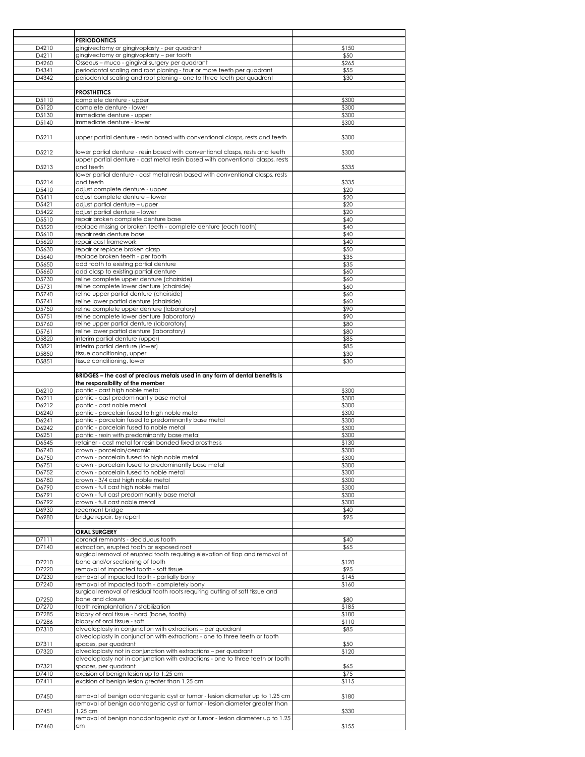|                | <b>PERIODONTICS</b>                                                                                                                                       |                |
|----------------|-----------------------------------------------------------------------------------------------------------------------------------------------------------|----------------|
| D4210          | gingivectomy or gingivoplasty - per quadrant                                                                                                              | \$150          |
| D4211          | gingivectomy or gingivoplasty - per tooth                                                                                                                 | \$50           |
| D4260          | Osseous - muco - gingival surgery per quadrant                                                                                                            | \$265          |
| D4341          | periodontal scaling and root planing - four or more teeth per quadrant                                                                                    | \$55           |
| D4342          | periodontal scaling and root planing - one to three teeth per quadrant                                                                                    | \$30           |
|                |                                                                                                                                                           |                |
|                | <b>PROSTHETICS</b>                                                                                                                                        |                |
| D5110          | complete denture - upper                                                                                                                                  | \$300          |
| D5120          | complete denture - lower                                                                                                                                  | \$300          |
| D5130          | immediate denture - upper                                                                                                                                 | \$300          |
| D5140          | immediate denture - lower                                                                                                                                 | \$300          |
|                |                                                                                                                                                           |                |
| D5211          | upper partial denture - resin based with conventional clasps, rests and teeth                                                                             | \$300          |
|                |                                                                                                                                                           |                |
| D5212          | lower partial denture - resin based with conventional clasps, rests and teeth                                                                             | \$300          |
|                | upper partial denture - cast metal resin based with conventional clasps, rests                                                                            |                |
| D5213          | and teeth                                                                                                                                                 | \$335          |
|                | lower partial denture - cast metal resin based with conventional clasps, rests<br>and teeth                                                               |                |
| D5214<br>D5410 | adjust complete denture - upper                                                                                                                           | \$335<br>\$20  |
| D5411          | adjust complete denture - lower                                                                                                                           | \$20           |
| D5421          | adjust partial denture - upper                                                                                                                            | \$20           |
| D5422          | adjust partial denture - lower                                                                                                                            | \$20           |
| D5510          | repair broken complete denture base                                                                                                                       | \$40           |
| D5520          | replace missing or broken teeth - complete denture (each tooth)                                                                                           | \$40           |
| D5610          | repair resin denture base                                                                                                                                 | \$40           |
| D5620          | repair cast framework                                                                                                                                     | \$40           |
| D5630          | repair or replace broken clasp                                                                                                                            | \$50           |
| D5640          | replace broken teeth - per tooth                                                                                                                          | \$35           |
| D5650          | add tooth to existing partial denture                                                                                                                     | \$35           |
| D5660          | add clasp to existing partial denture                                                                                                                     | \$60           |
| D5730          | reline complete upper denture (chairside)                                                                                                                 | \$60           |
| D5731          | reline complete lower denture (chairside)                                                                                                                 | \$60           |
| D5740          | reline upper partial denture (chairside)                                                                                                                  | \$60           |
| D5741          | reline lower partial denture (chairside)                                                                                                                  | \$60           |
| D5750          | reline complete upper denture (laboratory)                                                                                                                | \$90           |
| D5751          | reline complete lower denture (laboratory)                                                                                                                | \$90           |
| D5760          | reline upper partial denture (laboratory)                                                                                                                 | \$80           |
| D5761          | reline lower partial denture (laboratory)                                                                                                                 | \$80           |
| D5820          | interim partial denture (upper)                                                                                                                           | \$85           |
| D5821          | interim partial denture (lower)                                                                                                                           | \$85           |
| D5850          | tissue conditioning, upper                                                                                                                                | \$30           |
| D5851          | tissue conditioning, lower                                                                                                                                | \$30           |
|                |                                                                                                                                                           |                |
|                | BRIDGES - the cost of precious metals used in any form of dental benefits is                                                                              |                |
|                | the responsibility of the member                                                                                                                          |                |
| D6210          | pontic - cast high noble metal                                                                                                                            | \$300          |
| D6211          | pontic - cast predominantly base metal                                                                                                                    | \$300          |
| D6212          | pontic - cast noble metal                                                                                                                                 | \$300          |
| D6240          | pontic - porcelain fused to high noble metal                                                                                                              | \$300          |
| D6241          | pontic - porcelain fused to predominantly base metal                                                                                                      | \$300          |
| D6242          | pontic - porcelain fused to noble metal<br>pontic - resin with predominantly base metal                                                                   | \$300          |
| D6251<br>D6545 | retainer - cast metal for resin bonded fixed prosthesis                                                                                                   | \$300<br>\$130 |
| D6740          | crown - porcelain/ceramic                                                                                                                                 | \$300          |
|                |                                                                                                                                                           |                |
| D6/50<br>D6751 | crown - porceiain fusea to nign noble metal<br>crown - porcelain fused to predominantly base metal                                                        | \$300<br>\$300 |
| D6752          | crown - porcelain fused to noble metal                                                                                                                    | \$300          |
| D6780          | crown - 3/4 cast high noble metal                                                                                                                         | \$300          |
| D6790          | crown - full cast high noble metal                                                                                                                        | \$300          |
| D6791          | crown - full cast predominantly base metal                                                                                                                | \$300          |
| D6792          | crown - full cast noble metal                                                                                                                             | \$300          |
| D6930          | recement bridge                                                                                                                                           | \$40           |
| D6980          | bridge repair, by report                                                                                                                                  | \$95           |
|                |                                                                                                                                                           |                |
|                | <b>ORAL SURGERY</b>                                                                                                                                       |                |
| D7111          | coronal remnants - deciduous tooth                                                                                                                        | \$40           |
| D7140          | extraction, erupted tooth or exposed root                                                                                                                 | \$65           |
|                | surgical removal of erupted tooth requiring elevation of flap and removal of                                                                              |                |
| D7210          | bone and/or sectioning of tooth                                                                                                                           | \$120          |
| D7220          | removal of impacted tooth - soft tissue                                                                                                                   | \$95           |
| D7230          | removal of impacted tooth - partially bony                                                                                                                | \$145          |
| D7240          | removal of impacted tooth - completely bony                                                                                                               | \$160          |
|                | surgical removal of residual tooth roots requiring cutting of soft tissue and                                                                             |                |
| D7250          | bone and closure                                                                                                                                          | \$80           |
| D7270          | tooth reimplantation / stabilization                                                                                                                      | \$185          |
| D7285          | biopsy of oral tissue - hard (bone, tooth)                                                                                                                | \$180          |
| D7286          | biopsy of oral tissue - soft                                                                                                                              | \$110          |
| D7310          | alveoloplasty in conjunction with extractions - per quadrant                                                                                              | \$85           |
|                | alveoloplasty in conjunction with extractions - one to three teeth or tooth                                                                               |                |
| D7311          | spaces, per quadrant                                                                                                                                      | \$50           |
| D7320          | alveoloplasty not in conjunction with extractions - per quadrant                                                                                          | \$120          |
|                | alveoloplasty not in conjunction with extractions - one to three teeth or tooth                                                                           |                |
| D7321          | spaces, per quadrant                                                                                                                                      | \$65           |
| D7410          | excision of benign lesion up to 1.25 cm<br>excision of benign lesion greater than 1.25 cm                                                                 | \$75           |
| D7411          |                                                                                                                                                           | \$115          |
|                |                                                                                                                                                           |                |
| D7450          | removal of benign odontogenic cyst or tumor - lesion diameter up to 1.25 cm<br>removal of benign odontogenic cyst or tumor - lesion diameter greater than | \$180          |
|                | 1.25 cm                                                                                                                                                   |                |
| D7451          |                                                                                                                                                           | \$330          |
|                |                                                                                                                                                           |                |
| D7460          | removal of benign nonodontogenic cyst or tumor - lesion diameter up to 1.25<br>сm                                                                         | \$155          |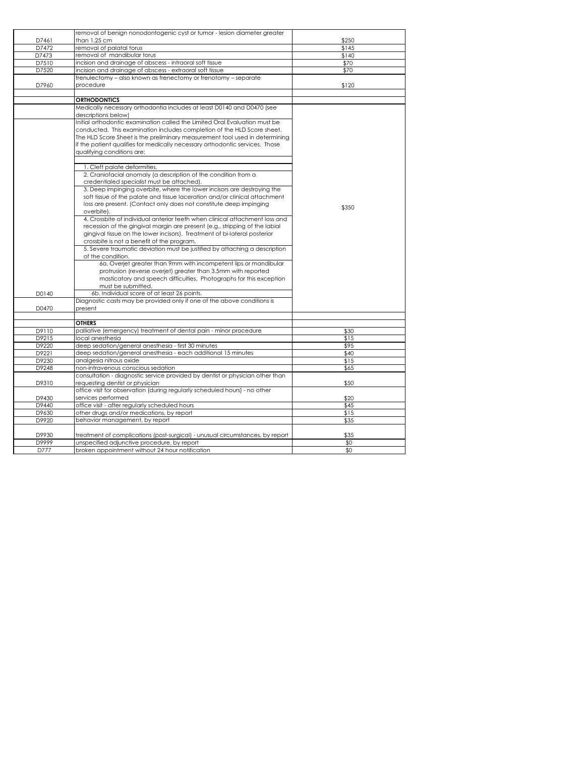|                | removal of benign nonodontogenic cyst or tumor - lesion diameter greater                                                     |             |
|----------------|------------------------------------------------------------------------------------------------------------------------------|-------------|
| D7461          | than 1.25 cm                                                                                                                 | \$250       |
| D7472          | removal of palatal torus                                                                                                     | \$145       |
| D7473          | removal of mandibular torus                                                                                                  | \$140       |
| D7510          | incision and drainage of abscess - intraoral soft tissue                                                                     | \$70        |
| D7520          | incision and drainage of abscess - extraoral soft tissue                                                                     | \$70        |
|                | frenulectomy - also known as frenectomy or frenotomy - separate                                                              |             |
| D7960          | procedure                                                                                                                    | \$120       |
|                | <b>ORTHODONTICS</b>                                                                                                          |             |
|                | Medically necessary orthodontia includes at least D0140 and D0470 (see                                                       |             |
|                | descriptions below)                                                                                                          |             |
|                | Initial orthodontic examination called the Limited Oral Evaluation must be                                                   |             |
|                | conducted. This examination includes completion of the HLD Score sheet.                                                      |             |
|                | The HLD Score Sheet is the preliminary measurement tool used in determining                                                  |             |
|                | if the patient qualifies for medically necessary orthodontic services. Those                                                 |             |
|                | qualifying conditions are:                                                                                                   |             |
|                |                                                                                                                              |             |
|                | 1. Cleft palate deformities.                                                                                                 |             |
|                | 2. Craniofacial anomaly (a description of the condition from a                                                               |             |
|                | credentialed specialist must be attached).                                                                                   |             |
|                | 3. Deep impinging overbite, where the lower incisors are destroying the                                                      |             |
|                | soft tissue of the palate and tissue laceration and/or clinical attachment                                                   |             |
|                | loss are present. (Contact only does not constitute deep impinging                                                           |             |
|                | overbite).                                                                                                                   | \$350       |
|                | 4. Crossbite of individual anterior teeth when clinical attachment loss and                                                  |             |
|                | recession of the gingival margin are present (e.g., stripping of the labial                                                  |             |
|                | gingival tissue on the lower incisors). Treatment of bi-lateral posterior                                                    |             |
|                | crossbite is not a benefit of the program.                                                                                   |             |
|                | 5. Severe traumatic deviation must be justified by attaching a description                                                   |             |
|                | of the condition.                                                                                                            |             |
|                | 6a. Overjet greater than 9mm with incompetent lips or mandibular                                                             |             |
|                | protrusion (reverse overjet) greater than 3.5mm with reported                                                                |             |
|                | masticatory and speech difficulties. Photographs for this exception                                                          |             |
|                | must be submitted.                                                                                                           |             |
| D0140          | 6b. Individual score of at least 26 points.                                                                                  |             |
|                | Diagnostic casts may be provided only if one of the above conditions is                                                      |             |
| D0470          | present                                                                                                                      |             |
|                | <b>OTHERS</b>                                                                                                                |             |
| D9110          | palliative (emergency) treatment of dental pain - minor procedure                                                            | \$30        |
| D9215          | local anesthesia                                                                                                             | \$15        |
| D9220          | deep sedation/general anesthesia - first 30 minutes                                                                          | \$95        |
| D9221          | deep sedation/general anesthesia - each additional 15 minutes                                                                | \$40        |
| D9230          | analgesia nitrous oxide                                                                                                      | \$15        |
| D9248          | non-intravenous conscious sedation                                                                                           | \$65        |
|                | consultation - diagnostic service provided by dentist or physician other than                                                |             |
| D9310          | requesting dentist or physician                                                                                              | \$50        |
|                | office visit for observation (during regularly scheduled hours) - no other                                                   |             |
| D9430          | services performed                                                                                                           | \$20        |
| D9440          | office visit - after regularly scheduled hours                                                                               | \$45        |
| D9630          | other drugs and/or medications, by report                                                                                    | \$15        |
| D9920          | behavior management, by report                                                                                               | \$35        |
|                |                                                                                                                              |             |
| D9930<br>D9999 | treatment of complications (post-surgical) - unusual circumstances, by report<br>unspecified adjunctive procedure, by report | \$35<br>\$0 |
| D777           | broken appointment without 24 hour notification                                                                              | \$0         |
|                |                                                                                                                              |             |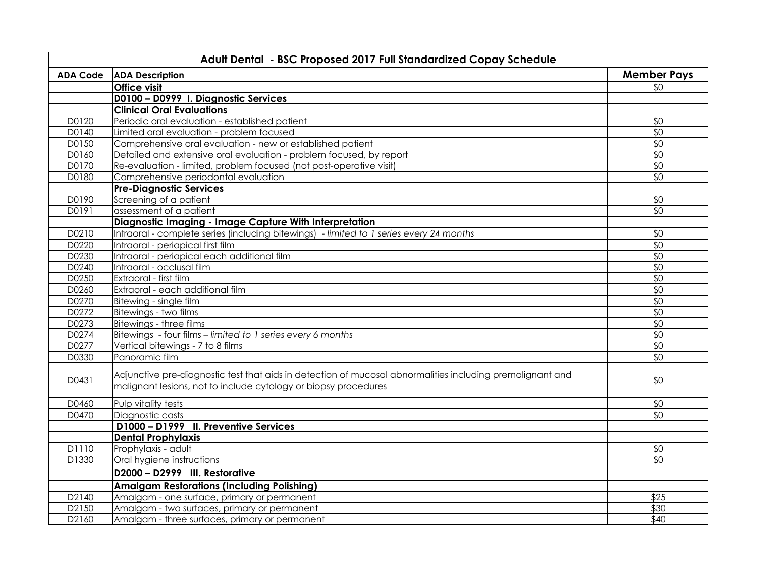| <b>ADA Code</b> | <b>ADA Description</b>                                                                                    | <b>Member Pays</b> |
|-----------------|-----------------------------------------------------------------------------------------------------------|--------------------|
|                 | <b>Office visit</b>                                                                                       | \$0                |
|                 | D0100 - D0999 I. Diagnostic Services                                                                      |                    |
|                 | <b>Clinical Oral Evaluations</b>                                                                          |                    |
| D0120           | Periodic oral evaluation - established patient                                                            | \$0                |
| D0140           | Limited oral evaluation - problem focused                                                                 | $\sqrt{6}$         |
| D0150           | Comprehensive oral evaluation - new or established patient                                                | $\sqrt{6}$         |
| D0160           | Detailed and extensive oral evaluation - problem focused, by report                                       | \$0                |
| D0170           | Re-evaluation - limited, problem focused (not post-operative visit)                                       | \$0                |
| D0180           | Comprehensive periodontal evaluation                                                                      | \$0                |
|                 | <b>Pre-Diagnostic Services</b>                                                                            |                    |
| D0190           | Screening of a patient                                                                                    | \$0                |
| D0191           | assessment of a patient                                                                                   | \$0                |
|                 | Diagnostic Imaging - Image Capture With Interpretation                                                    |                    |
| D0210           | Intraoral - complete series (including bitewings) - limited to 1 series every 24 months                   | \$0                |
| D0220           | Intraoral - periapical first film                                                                         | $\sqrt{6}$         |
| D0230           | Intraoral - periapical each additional film                                                               | \$0                |
| D0240           | Intraoral - occlusal film                                                                                 | \$0                |
| D0250           | Extraoral - first film                                                                                    | $\sqrt{6}$         |
| D0260           | Extraoral - each additional film                                                                          | \$0                |
| D0270           | Bitewing - single film                                                                                    | \$0                |
| D0272           | Bitewings - two films                                                                                     | \$0                |
| D0273           | Bitewings - three films                                                                                   | $\overline{50}$    |
| D0274           | Bitewings - four films - limited to 1 series every 6 months                                               | $\sqrt{6}$         |
| D0277           | Vertical bitewings - 7 to 8 films                                                                         | \$0                |
| D0330           | Panoramic film                                                                                            | $\sqrt{6}$         |
| D0431           | Adjunctive pre-diagnostic test that aids in detection of mucosal abnormalities including premalignant and | \$0                |
|                 | malignant lesions, not to include cytology or biopsy procedures                                           |                    |
| D0460           | Pulp vitality tests                                                                                       | \$0                |
| D0470           | Diagnostic casts                                                                                          | \$0                |
|                 | D1000 - D1999 II. Preventive Services                                                                     |                    |
|                 | <b>Dental Prophylaxis</b>                                                                                 |                    |
| D1110           | Prophylaxis - adult                                                                                       | \$0                |
| D1330           | Oral hygiene instructions                                                                                 | \$0                |
|                 | D2000 - D2999 III. Restorative                                                                            |                    |
|                 | <b>Amalgam Restorations (Including Polishing)</b>                                                         |                    |
| D2140           | Amalgam - one surface, primary or permanent                                                               | \$25               |
| D2150           | Amalgam - two surfaces, primary or permanent                                                              | \$30               |
| D2160           | Amalgam - three surfaces, primary or permanent                                                            | \$40               |

## **Adult Dental - BSC Proposed 2017 Full Standardized Copay Schedule**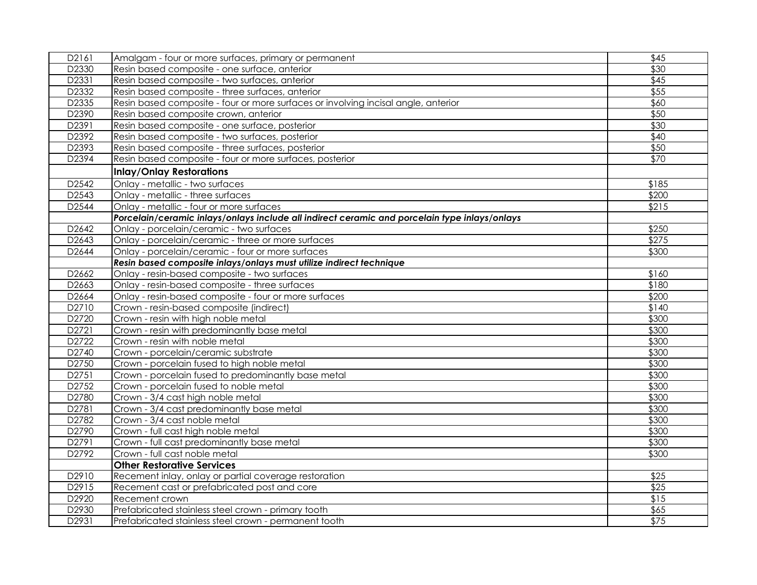| D2161 | Amalgam - four or more surfaces, primary or permanent                                         | \$45  |
|-------|-----------------------------------------------------------------------------------------------|-------|
| D2330 | Resin based composite - one surface, anterior                                                 | \$30  |
| D2331 | Resin based composite - two surfaces, anterior                                                | \$45  |
| D2332 | Resin based composite - three surfaces, anterior                                              | \$55  |
| D2335 | Resin based composite - four or more surfaces or involving incisal angle, anterior            | \$60  |
| D2390 | Resin based composite crown, anterior                                                         | \$50  |
| D2391 | Resin based composite - one surface, posterior                                                | \$30  |
| D2392 | Resin based composite - two surfaces, posterior                                               | \$40  |
| D2393 | Resin based composite - three surfaces, posterior                                             | \$50  |
| D2394 | Resin based composite - four or more surfaces, posterior                                      | \$70  |
|       | <b>Inlay/Onlay Restorations</b>                                                               |       |
| D2542 | Onlay - metallic - two surfaces                                                               | \$185 |
| D2543 | Onlay - metallic - three surfaces                                                             | \$200 |
| D2544 | Onlay - metallic - four or more surfaces                                                      | \$215 |
|       | Porcelain/ceramic inlays/onlays include all indirect ceramic and porcelain type inlays/onlays |       |
| D2642 | Onlay - porcelain/ceramic - two surfaces                                                      | \$250 |
| D2643 | Onlay - porcelain/ceramic - three or more surfaces                                            | \$275 |
| D2644 | Onlay - porcelain/ceramic - four or more surfaces                                             | \$300 |
|       | Resin based composite inlays/onlays must utilize indirect technique                           |       |
| D2662 | Onlay - resin-based composite - two surfaces                                                  | \$160 |
| D2663 | Onlay - resin-based composite - three surfaces                                                | \$180 |
| D2664 | Onlay - resin-based composite - four or more surfaces                                         | \$200 |
| D2710 | Crown - resin-based composite (indirect)                                                      | \$140 |
| D2720 | Crown - resin with high noble metal                                                           | \$300 |
| D2721 | Crown - resin with predominantly base metal                                                   | \$300 |
| D2722 | Crown - resin with noble metal                                                                | \$300 |
| D2740 | Crown - porcelain/ceramic substrate                                                           | \$300 |
| D2750 | Crown - porcelain fused to high noble metal                                                   | \$300 |
| D2751 | Crown - porcelain fused to predominantly base metal                                           | \$300 |
| D2752 | Crown - porcelain fused to noble metal                                                        | \$300 |
| D2780 | Crown - 3/4 cast high noble metal                                                             | \$300 |
| D2781 | Crown - 3/4 cast predominantly base metal                                                     | \$300 |
| D2782 | Crown - 3/4 cast noble metal                                                                  | \$300 |
| D2790 | Crown - full cast high noble metal                                                            | \$300 |
| D2791 | Crown - full cast predominantly base metal                                                    | \$300 |
| D2792 | Crown - full cast noble metal                                                                 | \$300 |
|       | <b>Other Restorative Services</b>                                                             |       |
| D2910 | Recement inlay, onlay or partial coverage restoration                                         | \$25  |
| D2915 | Recement cast or prefabricated post and core                                                  | \$25  |
| D2920 | Recement crown                                                                                | \$15  |
| D2930 | Prefabricated stainless steel crown - primary tooth                                           | \$65  |
| D2931 | Prefabricated stainless steel crown - permanent tooth                                         | \$75  |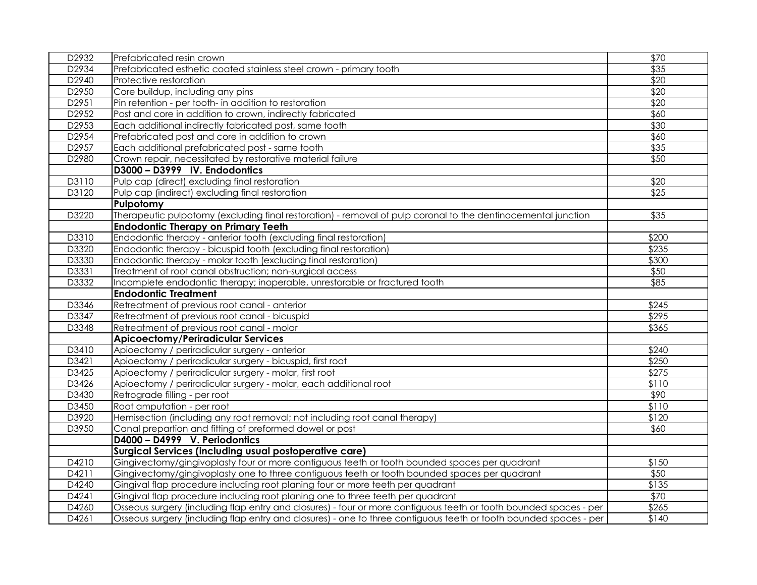| D2932          | Prefabricated resin crown                                                                                         | \$70  |
|----------------|-------------------------------------------------------------------------------------------------------------------|-------|
| D2934          | Prefabricated esthetic coated stainless steel crown - primary tooth                                               | \$35  |
| D2940          | Protective restoration                                                                                            | \$20  |
| D2950          | Core buildup, including any pins                                                                                  | \$20  |
| D2951          | Pin retention - per tooth- in addition to restoration                                                             | \$20  |
| D2952          | Post and core in addition to crown, indirectly fabricated                                                         | \$60  |
| D2953          | Each additional indirectly fabricated post, same tooth                                                            | \$30  |
| D2954          | Prefabricated post and core in addition to crown                                                                  | \$60  |
| D2957          | Each additional prefabricated post - same tooth                                                                   | \$35  |
| D2980          | Crown repair, necessitated by restorative material failure                                                        | \$50  |
|                | D3000 - D3999 IV. Endodontics                                                                                     |       |
| D3110          | Pulp cap (direct) excluding final restoration                                                                     | \$20  |
| D3120          | Pulp cap (indirect) excluding final restoration                                                                   | \$25  |
|                | Pulpotomy                                                                                                         |       |
| D3220          | Therapeutic pulpotomy (excluding final restoration) - removal of pulp coronal to the dentinocemental junction     | \$35  |
|                | <b>Endodontic Therapy on Primary Teeth</b>                                                                        |       |
| D3310          | Endodontic therapy - anterior tooth (excluding final restoration)                                                 | \$200 |
| D3320          | Endodontic therapy - bicuspid tooth (excluding final restoration)                                                 | \$235 |
| D3330          | Endodontic therapy - molar tooth (excluding final restoration)                                                    | \$300 |
| D3331          | Treatment of root canal obstruction; non-surgical access                                                          | \$50  |
| D3332          | Incomplete endodontic therapy; inoperable, unrestorable or fractured tooth                                        | \$85  |
|                |                                                                                                                   |       |
|                | <b>Endodontic Treatment</b>                                                                                       |       |
| D3346          | Retreatment of previous root canal - anterior                                                                     | \$245 |
| D3347          | Retreatment of previous root canal - bicuspid                                                                     | \$295 |
| D3348          | Retreatment of previous root canal - molar                                                                        | \$365 |
|                | <b>Apicoectomy/Periradicular Services</b>                                                                         |       |
| D3410          | Apioectomy / periradicular surgery - anterior                                                                     | \$240 |
| D3421          | Apioectomy / periradicular surgery - bicuspid, first root                                                         | \$250 |
| D3425          | Apioectomy / periradicular surgery - molar, first root                                                            | \$275 |
| D3426          | Apioectomy / periradicular surgery - molar, each additional root                                                  | \$110 |
| D3430          | Retrograde filling - per root                                                                                     | \$90  |
| D3450          | Root amputation - per root                                                                                        | \$110 |
| D3920          | Hemisection (including any root removal; not including root canal therapy)                                        | \$120 |
| D3950          | Canal prepartion and fitting of preformed dowel or post                                                           | \$60  |
|                | D4000 - D4999 V. Periodontics                                                                                     |       |
|                | Surgical Services (including usual postoperative care)                                                            |       |
| D4210          | Gingivectomy/gingivoplasty four or more contiguous teeth or tooth bounded spaces per quadrant                     | \$150 |
| D4211          | Gingivectomy/gingivoplasty one to three contiguous teeth or tooth bounded spaces per quadrant                     | \$50  |
| D4240          | Gingival flap procedure including root planing four or more teeth per quadrant                                    | \$135 |
| D4241          | Gingival flap procedure including root planing one to three teeth per quadrant                                    | \$70  |
| D4260<br>D4261 | Osseous surgery (including flap entry and closures) - four or more contiguous teeth or tooth bounded spaces - per | \$265 |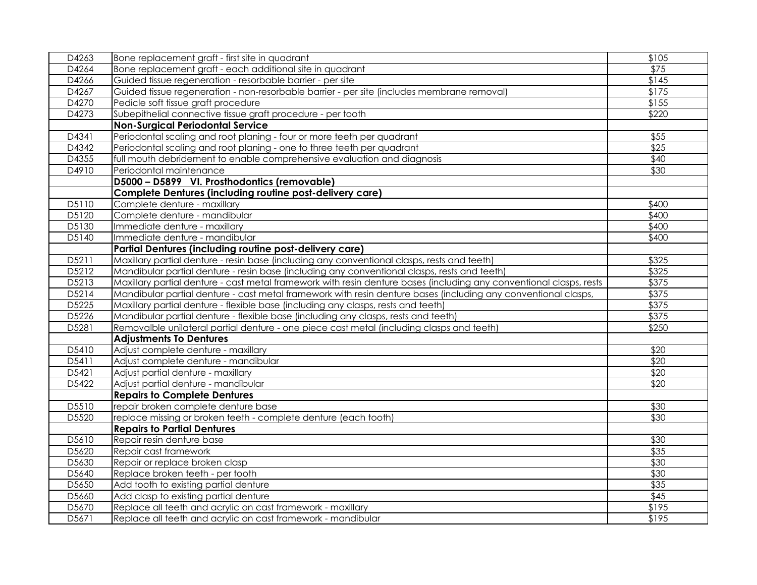| D4263             | Bone replacement graft - first site in quadrant                                                                     | \$105            |
|-------------------|---------------------------------------------------------------------------------------------------------------------|------------------|
| D4264             | Bone replacement graft - each additional site in quadrant                                                           | \$75             |
| D4266             | Guided tissue regeneration - resorbable barrier - per site                                                          | \$145            |
| D4267             | Guided tissue regeneration - non-resorbable barrier - per site (includes membrane removal)                          | \$175            |
| D4270             | Pedicle soft tissue graft procedure                                                                                 | \$155            |
| D4273             | Subepithelial connective tissue graft procedure - per tooth                                                         | \$220            |
|                   | <b>Non-Surgical Periodontal Service</b>                                                                             |                  |
| D4341             | Periodontal scaling and root planing - four or more teeth per quadrant                                              | \$55             |
| D4342             | Periodontal scaling and root planing - one to three teeth per quadrant                                              | $\sqrt{$25}$     |
| D4355             | full mouth debridement to enable comprehensive evaluation and diagnosis                                             | \$40             |
| D4910             | Periodontal maintenance                                                                                             | \$30             |
|                   | D5000 - D5899 VI. Prosthodontics (removable)                                                                        |                  |
|                   | Complete Dentures (including routine post-delivery care)                                                            |                  |
| D5110             | Complete denture - maxillary                                                                                        | \$400            |
| D5120             | Complete denture - mandibular                                                                                       | \$400            |
| D5130             | Immediate denture - maxillary                                                                                       | \$400            |
| D5140             | Immediate denture - mandibular                                                                                      | \$400            |
|                   | Partial Dentures (including routine post-delivery care)                                                             |                  |
| D5211             | Maxillary partial denture - resin base (including any conventional clasps, rests and teeth)                         | \$325            |
| D5212             | Mandibular partial denture - resin base (including any conventional clasps, rests and teeth)                        | \$325            |
| D5213             | Maxillary partial denture - cast metal framework with resin denture bases (including any conventional clasps, rests | \$375            |
| D5214             | Mandibular partial denture - cast metal framework with resin denture bases (including any conventional clasps,      | \$375            |
| D5225             | Maxillary partial denture - flexible base (including any clasps, rests and teeth)                                   | \$375            |
| D5226             | Mandibular partial denture - flexible base (including any clasps, rests and teeth)                                  | \$375            |
| D5281             | Removalble unilateral partial denture - one piece cast metal (including clasps and teeth)                           | \$250            |
|                   | <b>Adjustments To Dentures</b>                                                                                      |                  |
| D5410             | Adjust complete denture - maxillary                                                                                 | \$20             |
| D5411             | Adjust complete denture - mandibular                                                                                | \$20             |
| D5421             | Adjust partial denture - maxillary                                                                                  | \$20             |
| D5422             | Adjust partial denture - mandibular                                                                                 | \$20             |
|                   | <b>Repairs to Complete Dentures</b>                                                                                 |                  |
| D5510             | repair broken complete denture base                                                                                 | \$30             |
| D5520             | replace missing or broken teeth - complete denture (each tooth)                                                     | $\overline{$30}$ |
|                   | <b>Repairs to Partial Dentures</b>                                                                                  |                  |
| D5610             | Repair resin denture base                                                                                           | \$30             |
| D5620             | Repair cast framework                                                                                               | \$35             |
| D5630             | Repair or replace broken clasp                                                                                      | \$30             |
| D5640             | Replace broken teeth - per tooth                                                                                    | \$30             |
| D5650             | Add tooth to existing partial denture                                                                               | \$35             |
| D5660             | Add clasp to existing partial denture                                                                               | \$45             |
| D <sub>5670</sub> | Replace all teeth and acrylic on cast framework - maxillary                                                         | \$195            |
| D5671             | Replace all teeth and acrylic on cast framework - mandibular                                                        | \$195            |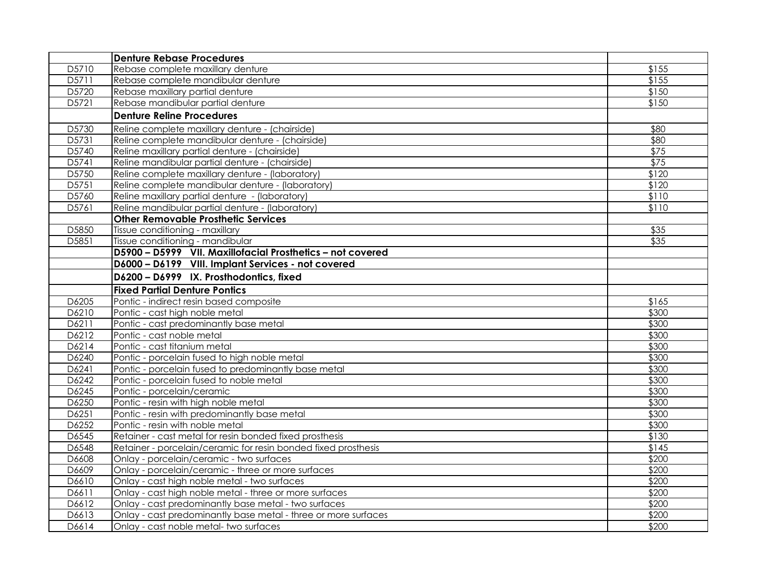|       | Denture Rebase Procedures                                      |                  |
|-------|----------------------------------------------------------------|------------------|
| D5710 | Rebase complete maxillary denture                              | \$155            |
| D5711 | Rebase complete mandibular denture                             | \$155            |
| D5720 | Rebase maxillary partial denture                               | \$150            |
| D5721 | Rebase mandibular partial denture                              | \$150            |
|       | <b>Denture Reline Procedures</b>                               |                  |
| D5730 | Reline complete maxillary denture - (chairside)                | \$80             |
| D5731 | Reline complete mandibular denture - (chairside)               | \$80             |
| D5740 | Reline maxillary partial denture - (chairside)                 | $\overline{$75}$ |
| D5741 | Reline mandibular partial denture - (chairside)                | \$75             |
| D5750 | Reline complete maxillary denture - (laboratory)               | \$120            |
| D5751 | Reline complete mandibular denture - (laboratory)              | \$120            |
| D5760 | Reline maxillary partial denture - (laboratory)                | \$110            |
| D5761 | Reline mandibular partial denture - (laboratory)               | \$110            |
|       | <b>Other Removable Prosthetic Services</b>                     |                  |
| D5850 | Tissue conditioning - maxillary                                | \$35             |
| D5851 | Tissue conditioning - mandibular                               | \$35             |
|       | D5900 - D5999 VII. Maxillofacial Prosthetics - not covered     |                  |
|       | D6000 - D6199 VIII. Implant Services - not covered             |                  |
|       | D6200 - D6999 IX. Prosthodontics, fixed                        |                  |
|       | <b>Fixed Partial Denture Pontics</b>                           |                  |
| D6205 | Pontic - indirect resin based composite                        | \$165            |
| D6210 | Pontic - cast high noble metal                                 | \$300            |
| D6211 | Pontic - cast predominantly base metal                         | \$300            |
| D6212 | Pontic - cast noble metal                                      | \$300            |
| D6214 | Pontic - cast titanium metal                                   | \$300            |
| D6240 | Pontic - porcelain fused to high noble metal                   | \$300            |
| D6241 | Pontic - porcelain fused to predominantly base metal           | \$300            |
| D6242 | Pontic - porcelain fused to noble metal                        | \$300            |
| D6245 | Pontic - porcelain/ceramic                                     | \$300            |
| D6250 | Pontic - resin with high noble metal                           | \$300            |
| D6251 | Pontic - resin with predominantly base metal                   | \$300            |
| D6252 | Pontic - resin with noble metal                                | \$300            |
| D6545 | Retainer - cast metal for resin bonded fixed prosthesis        | \$130            |
| D6548 | Retainer - porcelain/ceramic for resin bonded fixed prosthesis | \$145            |
| D6608 | Onlay - porcelain/ceramic - two surfaces                       | \$200            |
| D6609 | Onlay - porcelain/ceramic - three or more surfaces             | \$200            |
| D6610 | Onlay - cast high noble metal - two surfaces                   | \$200            |
| D6611 | Onlay - cast high noble metal - three or more surfaces         | \$200            |
| D6612 | Onlay - cast predominantly base metal - two surfaces           | \$200            |
| D6613 | Onlay - cast predominantly base metal - three or more surfaces | \$200            |
| D6614 | Onlay - cast noble metal- two surfaces                         | \$200            |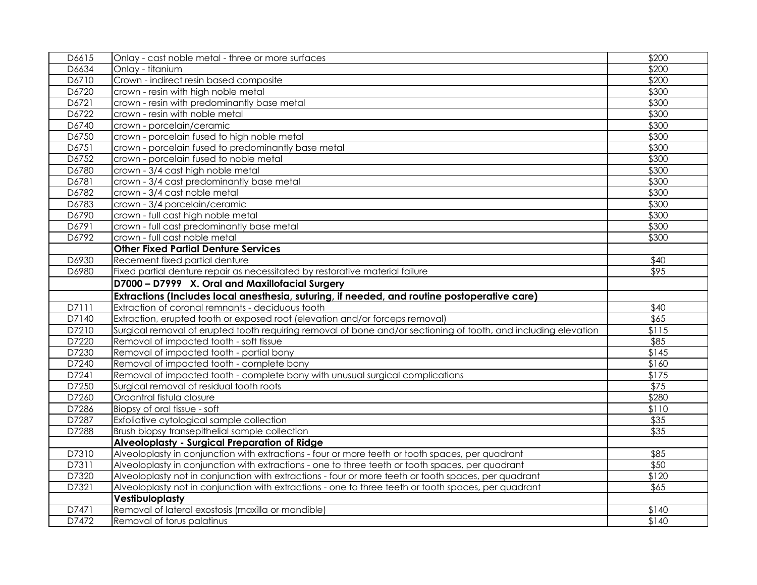| D6615          | Onlay - cast noble metal - three or more surfaces                                                                                                | \$200            |
|----------------|--------------------------------------------------------------------------------------------------------------------------------------------------|------------------|
| D6634          | Onlay - titanium                                                                                                                                 | \$200            |
| D6710          | Crown - indirect resin based composite                                                                                                           | \$200            |
| D6720          | crown - resin with high noble metal                                                                                                              | \$300            |
| D6721          | crown - resin with predominantly base metal                                                                                                      | \$300            |
| D6722          | crown - resin with noble metal                                                                                                                   | \$300            |
| D6740          | crown - porcelain/ceramic                                                                                                                        | \$300            |
| D6750          | crown - porcelain fused to high noble metal                                                                                                      | \$300            |
| D6751          | crown - porcelain fused to predominantly base metal                                                                                              | \$300            |
| D6752          | crown - porcelain fused to noble metal                                                                                                           | \$300            |
| D6780          | crown - 3/4 cast high noble metal                                                                                                                | \$300            |
| D6781          | crown - 3/4 cast predominantly base metal                                                                                                        | \$300            |
| D6782          | crown - 3/4 cast noble metal                                                                                                                     | \$300            |
| D6783          | crown - 3/4 porcelain/ceramic                                                                                                                    | \$300            |
| D6790          | crown - full cast high noble metal                                                                                                               | \$300            |
| D6791          | crown - full cast predominantly base metal                                                                                                       | \$300            |
| D6792          | crown - full cast noble metal                                                                                                                    | \$300            |
|                | <b>Other Fixed Partial Denture Services</b>                                                                                                      |                  |
| D6930          | Recement fixed partial denture                                                                                                                   | $\sqrt{40}$      |
| D6980          | Fixed partial denture repair as necessitated by restorative material failure                                                                     | $\sqrt{$95}$     |
|                | D7000 - D7999 X. Oral and Maxillofacial Surgery                                                                                                  |                  |
|                |                                                                                                                                                  |                  |
|                |                                                                                                                                                  |                  |
| D7111          | Extractions (Includes local anesthesia, suturing, if needed, and routine postoperative care)<br>Extraction of coronal remnants - deciduous tooth | \$40             |
| D7140          | Extraction, erupted tooth or exposed root (elevation and/or forceps removal)                                                                     | \$65             |
| D7210          | Surgical removal of erupted tooth requiring removal of bone and/or sectioning of tooth, and including elevation                                  | \$115            |
| D7220          | Removal of impacted tooth - soft tissue                                                                                                          | \$85             |
| D7230          | Removal of impacted tooth - partial bony                                                                                                         | \$145            |
| D7240          | Removal of impacted tooth - complete bony                                                                                                        | \$160            |
| D7241          | Removal of impacted tooth - complete bony with unusual surgical complications                                                                    | \$175            |
| D7250          | Surgical removal of residual tooth roots                                                                                                         | $\overline{$75}$ |
| D7260          | Oroantral fistula closure                                                                                                                        | \$280            |
| D7286          | Biopsy of oral tissue - soft                                                                                                                     | \$110            |
| D7287          | Exfoliative cytological sample collection                                                                                                        | $\overline{$35}$ |
| D7288          | Brush biopsy transepithelial sample collection                                                                                                   | $\overline{$35}$ |
|                | Alveoloplasty - Surgical Preparation of Ridge                                                                                                    |                  |
| D7310          | Alveoloplasty in conjunction with extractions - four or more teeth or tooth spaces, per quadrant                                                 | \$85             |
| D7311          | Alveoloplasty in conjunction with extractions - one to three teeth or tooth spaces, per quadrant                                                 | \$50             |
| D7320          | Alveoloplasty not in conjunction with extractions - four or more teeth or tooth spaces, per quadrant                                             | \$120            |
| D7321          | Alveoloplasty not in conjunction with extractions - one to three teeth or tooth spaces, per quadrant                                             | \$65             |
|                | Vestibuloplasty                                                                                                                                  |                  |
| D7471<br>D7472 | Removal of lateral exostosis (maxilla or mandible)<br>Removal of torus palatinus                                                                 | \$140<br>\$140   |